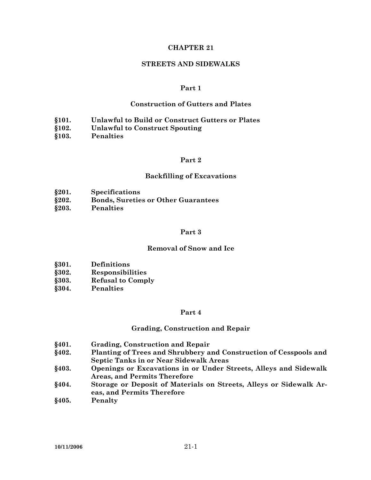### **CHAPTER 21**

#### **STREETS AND SIDEWALKS**

### **Part 1**

### **Construction of Gutters and Plates**

- **§101. Unlawful to Build or Construct Gutters or Plates**
- **§102. Unlawful to Construct Spouting**
- **§103. Penalties**

## **Part 2**

#### **Backfilling of Excavations**

- **§201. Specifications**
- **§202. Bonds, Sureties or Other Guarantees**
- **§203. Penalties**

#### **Part 3**

### **Removal of Snow and Ice**

- **§301. Definitions**
- **§302. Responsibilities**
- **§303. Refusal to Comply**
- **§304. Penalties**

#### **Part 4**

### **Grading, Construction and Repair**

- **§401. Grading, Construction and Repair**
- **§402. Planting of Trees and Shrubbery and Construction of Cesspools and Septic Tanks in or Near Sidewalk Areas**
- **§403. Openings or Excavations in or Under Streets, Alleys and Sidewalk Areas, and Permits Therefore**
- **§404. Storage or Deposit of Materials on Streets, Alleys or Sidewalk Areas, and Permits Therefore**
- **§405. Penalty**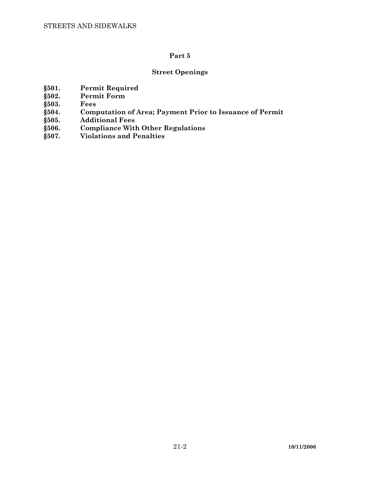# **Street Openings**

- **§501. Permit Required**
- **§502. Permit Form**
- 
- **§503. Fees §504. Computation of Area; Payment Prior to Issuance of Permit**
- **§505. Additional Fees**
- **§506. Compliance With Other Regulations**
- **§507. Violations and Penalties**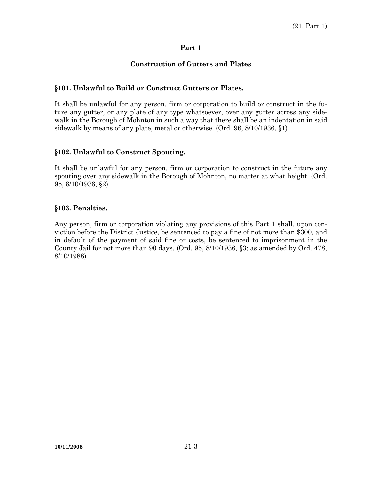## **Construction of Gutters and Plates**

## **§101. Unlawful to Build or Construct Gutters or Plates.**

It shall be unlawful for any person, firm or corporation to build or construct in the future any gutter, or any plate of any type whatsoever, over any gutter across any sidewalk in the Borough of Mohnton in such a way that there shall be an indentation in said sidewalk by means of any plate, metal or otherwise. (Ord. 96, 8/10/1936, §1)

### **§102. Unlawful to Construct Spouting.**

It shall be unlawful for any person, firm or corporation to construct in the future any spouting over any sidewalk in the Borough of Mohnton, no matter at what height. (Ord. 95, 8/10/1936, §2)

### **§103. Penalties.**

Any person, firm or corporation violating any provisions of this Part 1 shall, upon conviction before the District Justice, be sentenced to pay a fine of not more than \$300, and in default of the payment of said fine or costs, be sentenced to imprisonment in the County Jail for not more than 90 days. (Ord. 95, 8/10/1936, §3; as amended by Ord. 478, 8/10/1988)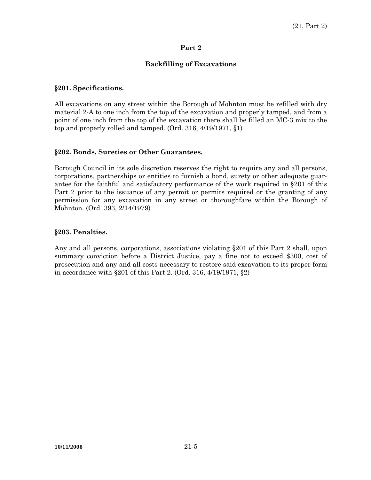### **Backfilling of Excavations**

### **§201. Specifications.**

All excavations on any street within the Borough of Mohnton must be refilled with dry material 2-A to one inch from the top of the excavation and properly tamped, and from a point of one inch from the top of the excavation there shall be filled an MC-3 mix to the top and properly rolled and tamped. (Ord. 316, 4/19/1971, §1)

### **§202. Bonds, Sureties or Other Guarantees.**

Borough Council in its sole discretion reserves the right to require any and all persons, corporations, partnerships or entities to furnish a bond, surety or other adequate guarantee for the faithful and satisfactory performance of the work required in §201 of this Part 2 prior to the issuance of any permit or permits required or the granting of any permission for any excavation in any street or thoroughfare within the Borough of Mohnton. (Ord. 393, 2/14/1979)

### **§203. Penalties.**

Any and all persons, corporations, associations violating §201 of this Part 2 shall, upon summary conviction before a District Justice, pay a fine not to exceed \$300, cost of prosecution and any and all costs necessary to restore said excavation to its proper form in accordance with §201 of this Part 2. (Ord. 316, 4/19/1971, §2)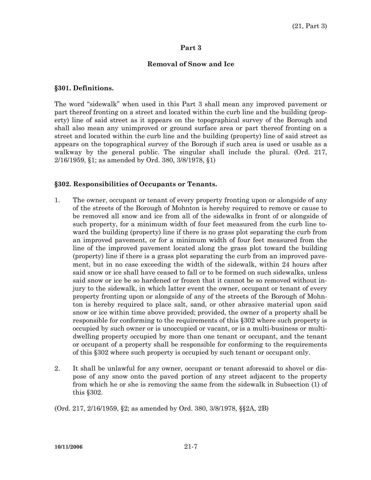### **Removal of Snow and Ice**

#### **§301. Definitions.**

The word "sidewalk" when used in this Part 3 shall mean any improved pavement or part thereof fronting on a street and located within the curb line and the building (property) line of said street as it appears on the topographical survey of the Borough and shall also mean any unimproved or ground surface area or part thereof fronting on a street and located within the curb line and the building (property) line of said street as appears on the topographical survey of the Borough if such area is used or usable as a walkway by the general public. The singular shall include the plural. (Ord. 217, 2/16/1959, §1; as amended by Ord. 380, 3/8/1978, §1)

#### **§302. Responsibilities of Occupants or Tenants.**

- 1. The owner, occupant or tenant of every property fronting upon or alongside of any of the streets of the Borough of Mohnton is hereby required to remove or cause to be removed all snow and ice from all of the sidewalks in front of or alongside of such property, for a minimum width of four feet measured from the curb line toward the building (property) line if there is no grass plot separating the curb from an improved pavement, or for a minimum width of four feet measured from the line of the improved pavement located along the grass plot toward the building (property) line if there is a grass plot separating the curb from an improved pavement, but in no case exceeding the width of the sidewalk, within 24 hours after said snow or ice shall have ceased to fall or to be formed on such sidewalks, unless said snow or ice be so hardened or frozen that it cannot be so removed without injury to the sidewalk, in which latter event the owner, occupant or tenant of every property fronting upon or alongside of any of the streets of the Borough of Mohnton is hereby required to place salt, sand, or other abrasive material upon said snow or ice within time above provided; provided, the owner of a property shall be responsible for conforming to the requirements of this §302 where such property is occupied by such owner or is unoccupied or vacant, or is a multi-business or multidwelling property occupied by more than one tenant or occupant, and the tenant or occupant of a property shall be responsible for conforming to the requirements of this §302 where such property is occupied by such tenant or occupant only.
- 2. It shall be unlawful for any owner, occupant or tenant aforesaid to shovel or dispose of any snow onto the paved portion of any street adjacent to the property from which he or she is removing the same from the sidewalk in Subsection (1) of this §302.

(Ord. 217, 2/16/1959, §2; as amended by Ord. 380, 3/8/1978, §§2A, 2B)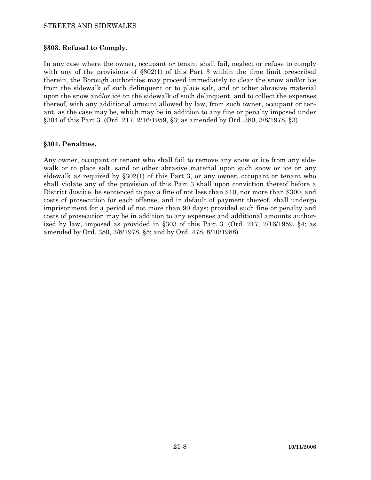### STREETS AND SIDEWALKS

### **§303. Refusal to Comply.**

In any case where the owner, occupant or tenant shall fail, neglect or refuse to comply with any of the provisions of §302(1) of this Part 3 within the time limit prescribed therein, the Borough authorities may proceed immediately to clear the snow and/or ice from the sidewalk of such delinquent or to place salt, and or other abrasive material upon the snow and/or ice on the sidewalk of such delinquent, and to collect the expenses thereof, with any additional amount allowed by law, from such owner, occupant or tenant, as the case may be, which may be in addition to any fine or penalty imposed under §304 of this Part 3. (Ord. 217, 2/16/1959, §3; as amended by Ord. 380, 3/8/1978, §3)

### **§304. Penalties.**

Any owner, occupant or tenant who shall fail to remove any snow or ice from any sidewalk or to place salt, sand or other abrasive material upon such snow or ice on any sidewalk as required by §302(1) of this Part 3, or any owner, occupant or tenant who shall violate any of the provision of this Part 3 shall upon conviction thereof before a District Justice, be sentenced to pay a fine of not less than \$10, nor more than \$300, and costs of prosecution for each offense, and in default of payment thereof, shall undergo imprisonment for a period of not more than 90 days; provided such fine or penalty and costs of prosecution may be in addition to any expenses and additional amounts authorized by law, imposed as provided in §303 of this Part 3. (Ord. 217, 2/16/1959, §4; as amended by Ord. 380, 3/8/1978, §5; and by Ord. 478, 8/10/1988)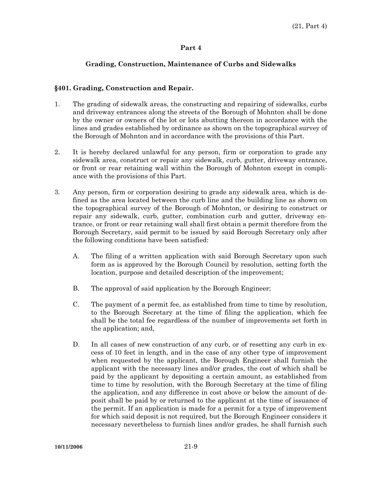# **Grading, Construction, Maintenance of Curbs and Sidewalks**

### **§401. Grading, Construction and Repair.**

- 1. The grading of sidewalk areas, the constructing and repairing of sidewalks, curbs and driveway entrances along the streets of the Borough of Mohnton shall be done by the owner or owners of the lot or lots abutting thereon in accordance with the lines and grades established by ordinance as shown on the topographical survey of the Borough of Mohnton and in accordance with the provisions of this Part.
- 2. It is hereby declared unlawful for any person, firm or corporation to grade any sidewalk area, construct or repair any sidewalk, curb, gutter, driveway entrance, or front or rear retaining wall within the Borough of Mohnton except in compliance with the provisions of this Part.
- 3. Any person, firm or corporation desiring to grade any sidewalk area, which is defined as the area located between the curb line and the building line as shown on the topographical survey of the Borough of Mohnton, or desiring to construct or repair any sidewalk, curb, gutter, combination curb and gutter, driveway entrance, or front or rear retaining wall shall first obtain a permit therefore from the Borough Secretary, said permit to be issued by said Borough Secretary only after the following conditions have been satisfied:
	- A. The filing of a written application with said Borough Secretary upon such form as is approved by the Borough Council by resolution, setting forth the location, purpose and detailed description of the improvement;
	- B. The approval of said application by the Borough Engineer;
	- C. The payment of a permit fee, as established from time to time by resolution, to the Borough Secretary at the time of filing the application, which fee shall be the total fee regardless of the number of improvements set forth in the application; and,
	- D. In all cases of new construction of any curb, or of resetting any curb in excess of 10 feet in length, and in the case of any other type of improvement when requested by the applicant, the Borough Engineer shall furnish the applicant with the necessary lines and/or grades, the cost of which shall be paid by the applicant by depositing a certain amount, as established from time to time by resolution, with the Borough Secretary at the time of filing the application, and any difference in cost above or below the amount of deposit shall be paid by or returned to the applicant at the time of issuance of the permit. If an application is made for a permit for a type of improvement for which said deposit is not required, but the Borough Engineer considers it necessary nevertheless to furnish lines and/or grades, he shall furnish such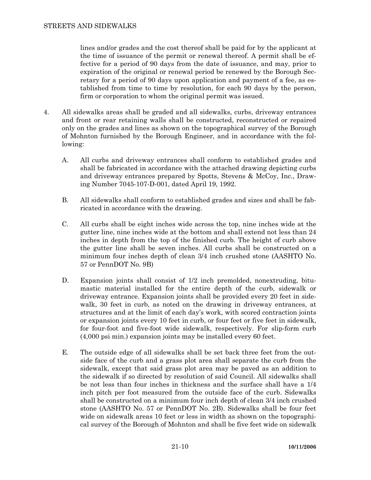lines and/or grades and the cost thereof shall be paid for by the applicant at the time of issuance of the permit or renewal thereof. A permit shall be effective for a period of 90 days from the date of issuance, and may, prior to expiration of the original or renewal period be renewed by the Borough Secretary for a period of 90 days upon application and payment of a fee, as established from time to time by resolution, for each 90 days by the person, firm or corporation to whom the original permit was issued.

- 4. All sidewalks areas shall be graded and all sidewalks, curbs, driveway entrances and front or rear retaining walls shall be constructed, reconstructed or repaired only on the grades and lines as shown on the topographical survey of the Borough of Mohnton furnished by the Borough Engineer, and in accordance with the following:
	- A. All curbs and driveway entrances shall conform to established grades and shall be fabricated in accordance with the attached drawing depicting curbs and driveway entrances prepared by Spotts, Stevens & McCoy, Inc., Drawing Number 7045-107-D-001, dated April 19, 1992.
	- B. All sidewalks shall conform to established grades and sizes and shall be fabricated in accordance with the drawing.
	- C. All curbs shall be eight inches wide across the top, nine inches wide at the gutter line, nine inches wide at the bottom and shall extend not less than 24 inches in depth from the top of the finished curb. The height of curb above the gutter line shall be seven inches. All curbs shall be constructed on a minimum four inches depth of clean 3/4 inch crushed stone (AASHTO No. 57 or PennDOT No. 9B)
	- D. Expansion joints shall consist of 1/2 inch premolded, nonextruding, bitumastic material installed for the entire depth of the curb, sidewalk or driveway entrance. Expansion joints shall be provided every 20 feet in sidewalk, 30 feet in curb, as noted on the drawing in driveway entrances, at structures and at the limit of each day's work, with scored contraction joints or expansion joints every 10 feet in curb, or four feet or five feet in sidewalk, for four-foot and five-foot wide sidewalk, respectively. For slip-form curb (4,000 psi min.) expansion joints may be installed every 60 feet.
	- E. The outside edge of all sidewalks shall be set back three feet from the outside face of the curb and a grass plot area shall separate the curb from the sidewalk, except that said grass plot area may be paved as an addition to the sidewalk if so directed by resolution of said Council. All sidewalks shall be not less than four inches in thickness and the surface shall have a 1/4 inch pitch per foot measured from the outside face of the curb. Sidewalks shall be constructed on a minimum four inch depth of clean 3/4 inch crushed stone (AASHTO No. 57 or PennDOT No. 2B). Sidewalks shall be four feet wide on sidewalk areas 10 feet or less in width as shown on the topographical survey of the Borough of Mohnton and shall be five feet wide on sidewalk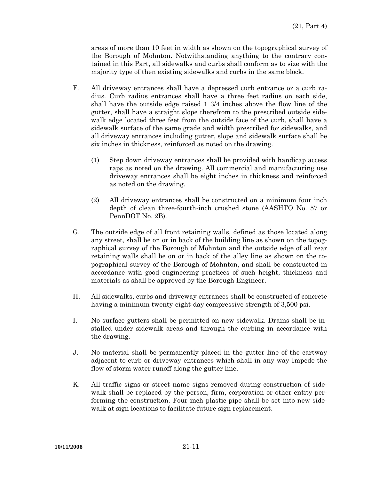areas of more than 10 feet in width as shown on the topographical survey of the Borough of Mohnton. Notwithstanding anything to the contrary contained in this Part, all sidewalks and curbs shall conform as to size with the majority type of then existing sidewalks and curbs in the same block.

- F. All driveway entrances shall have a depressed curb entrance or a curb radius. Curb radius entrances shall have a three feet radius on each side, shall have the outside edge raised 1 3/4 inches above the flow line of the gutter, shall have a straight slope therefrom to the prescribed outside sidewalk edge located three feet from the outside face of the curb, shall have a sidewalk surface of the same grade and width prescribed for sidewalks, and all driveway entrances including gutter, slope and sidewalk surface shall be six inches in thickness, reinforced as noted on the drawing.
	- (1) Step down driveway entrances shall be provided with handicap access raps as noted on the drawing. All commercial and manufacturing use driveway entrances shall be eight inches in thickness and reinforced as noted on the drawing.
	- (2) All driveway entrances shall be constructed on a minimum four inch depth of clean three-fourth-inch crushed stone (AASHTO No. 57 or PennDOT No. 2B).
- G. The outside edge of all front retaining walls, defined as those located along any street, shall be on or in back of the building line as shown on the topographical survey of the Borough of Mohnton and the outside edge of all rear retaining walls shall be on or in back of the alley line as shown on the topographical survey of the Borough of Mohnton, and shall be constructed in accordance with good engineering practices of such height, thickness and materials as shall be approved by the Borough Engineer.
- H. All sidewalks, curbs and driveway entrances shall be constructed of concrete having a minimum twenty-eight-day compressive strength of 3,500 psi.
- I. No surface gutters shall be permitted on new sidewalk. Drains shall be installed under sidewalk areas and through the curbing in accordance with the drawing.
- J. No material shall be permanently placed in the gutter line of the cartway adjacent to curb or driveway entrances which shall in any way Impede the flow of storm water runoff along the gutter line.
- K. All traffic signs or street name signs removed during construction of sidewalk shall be replaced by the person, firm, corporation or other entity performing the construction. Four inch plastic pipe shall be set into new sidewalk at sign locations to facilitate future sign replacement.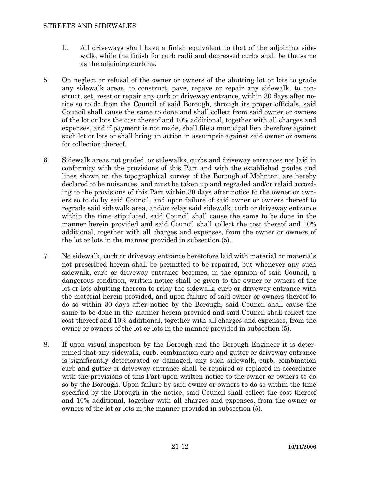- L. All driveways shall have a finish equivalent to that of the adjoining sidewalk, while the finish for curb radii and depressed curbs shall be the same as the adjoining curbing.
- 5. On neglect or refusal of the owner or owners of the abutting lot or lots to grade any sidewalk areas, to construct, pave, repave or repair any sidewalk, to construct, set, reset or repair any curb or driveway entrance, within 30 days after notice so to do from the Council of said Borough, through its proper officials, said Council shall cause the same to done and shall collect from said owner or owners of the lot or lots the cost thereof and 10% additional, together with all charges and expenses, and if payment is not made, shall file a municipal lien therefore against such lot or lots or shall bring an action in assumpsit against said owner or owners for collection thereof.
- 6. Sidewalk areas not graded, or sidewalks, curbs and driveway entrances not laid in conformity with the provisions of this Part and with the established grades and lines shown on the topographical survey of the Borough of Mohnton, are hereby declared to be nuisances, and must be taken up and regraded and/or relaid according to the provisions of this Part within 30 days after notice to the owner or owners so to do by said Council, and upon failure of said owner or owners thereof to regrade said sidewalk area, and/or relay said sidewalk, curb or driveway entrance within the time stipulated, said Council shall cause the same to be done in the manner herein provided and said Council shall collect the cost thereof and 10% additional, together with all charges and expenses, from the owner or owners of the lot or lots in the manner provided in subsection (5).
- 7. No sidewalk, curb or driveway entrance heretofore laid with material or materials not prescribed herein shall be permitted to be repaired, but whenever any such sidewalk, curb or driveway entrance becomes, in the opinion of said Council, a dangerous condition, written notice shall be given to the owner or owners of the lot or lots abutting thereon to relay the sidewalk, curb or driveway entrance with the material herein provided, and upon failure of said owner or owners thereof to do so within 30 days after notice by the Borough, said Council shall cause the same to be done in the manner herein provided and said Council shall collect the cost thereof and 10% additional, together with all charges and expenses, from the owner or owners of the lot or lots in the manner provided in subsection (5).
- 8. If upon visual inspection by the Borough and the Borough Engineer it is determined that any sidewalk, curb, combination curb and gutter or driveway entrance is significantly deteriorated or damaged, any such sidewalk, curb, combination curb and gutter or driveway entrance shall be repaired or replaced in accordance with the provisions of this Part upon written notice to the owner or owners to do so by the Borough. Upon failure by said owner or owners to do so within the time specified by the Borough in the notice, said Council shall collect the cost thereof and 10% additional, together with all charges and expenses, from the owner or owners of the lot or lots in the manner provided in subsection (5).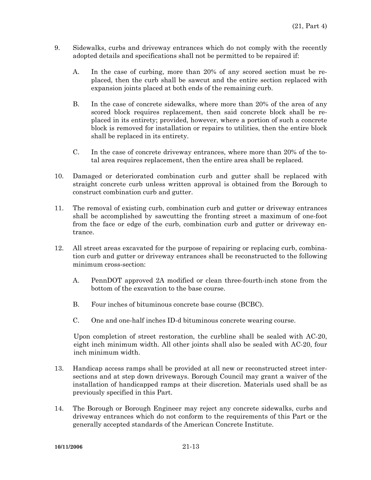- 9. Sidewalks, curbs and driveway entrances which do not comply with the recently adopted details and specifications shall not be permitted to be repaired if:
	- A. In the case of curbing, more than 20% of any scored section must be replaced, then the curb shall be sawcut and the entire section replaced with expansion joints placed at both ends of the remaining curb.
	- B. In the case of concrete sidewalks, where more than 20% of the area of any scored block requires replacement, then said concrete block shall be replaced in its entirety; provided, however, where a portion of such a concrete block is removed for installation or repairs to utilities, then the entire block shall be replaced in its entirety.
	- C. In the case of concrete driveway entrances, where more than 20% of the total area requires replacement, then the entire area shall be replaced.
- 10. Damaged or deteriorated combination curb and gutter shall be replaced with straight concrete curb unless written approval is obtained from the Borough to construct combination curb and gutter.
- 11. The removal of existing curb, combination curb and gutter or driveway entrances shall be accomplished by sawcutting the fronting street a maximum of one-foot from the face or edge of the curb, combination curb and gutter or driveway entrance.
- 12. All street areas excavated for the purpose of repairing or replacing curb, combination curb and gutter or driveway entrances shall be reconstructed to the following minimum cross-section:
	- A. PennDOT approved 2A modified or clean three-fourth-inch stone from the bottom of the excavation to the base course.
	- B. Four inches of bituminous concrete base course (BCBC).
	- C. One and one-half inches ID-d bituminous concrete wearing course.

Upon completion of street restoration, the curbline shall be sealed with AC-20, eight inch minimum width. All other joints shall also be sealed with AC-20, four inch minimum width.

- 13. Handicap access ramps shall be provided at all new or reconstructed street intersections and at step down driveways. Borough Council may grant a waiver of the installation of handicapped ramps at their discretion. Materials used shall be as previously specified in this Part.
- 14. The Borough or Borough Engineer may reject any concrete sidewalks, curbs and driveway entrances which do not conform to the requirements of this Part or the generally accepted standards of the American Concrete Institute.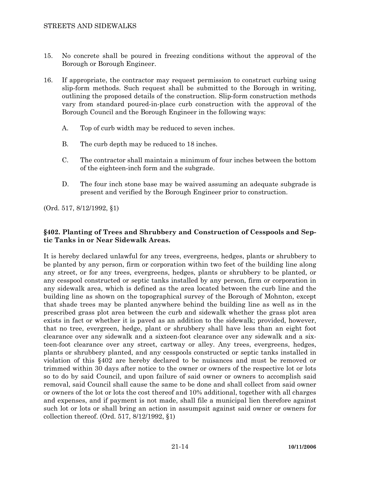- 15. No concrete shall be poured in freezing conditions without the approval of the Borough or Borough Engineer.
- 16. If appropriate, the contractor may request permission to construct curbing using slip-form methods. Such request shall be submitted to the Borough in writing, outlining the proposed details of the construction. Slip-form construction methods vary from standard poured-in-place curb construction with the approval of the Borough Council and the Borough Engineer in the following ways:
	- A. Top of curb width may be reduced to seven inches.
	- B. The curb depth may be reduced to 18 inches.
	- C. The contractor shall maintain a minimum of four inches between the bottom of the eighteen-inch form and the subgrade.
	- D. The four inch stone base may be waived assuming an adequate subgrade is present and verified by the Borough Engineer prior to construction.

(Ord. 517, 8/12/1992, §1)

# **§402. Planting of Trees and Shrubbery and Construction of Cesspools and Septic Tanks in or Near Sidewalk Areas.**

It is hereby declared unlawful for any trees, evergreens, hedges, plants or shrubbery to be planted by any person, firm or corporation within two feet of the building line along any street, or for any trees, evergreens, hedges, plants or shrubbery to be planted, or any cesspool constructed or septic tanks installed by any person, firm or corporation in any sidewalk area, which is defined as the area located between the curb line and the building line as shown on the topographical survey of the Borough of Mohnton, except that shade trees may be planted anywhere behind the building line as well as in the prescribed grass plot area between the curb and sidewalk whether the grass plot area exists in fact or whether it is paved as an addition to the sidewalk; provided, however, that no tree, evergreen, hedge, plant or shrubbery shall have less than an eight foot clearance over any sidewalk and a sixteen-foot clearance over any sidewalk and a sixteen-foot clearance over any street, cartway or alley. Any trees, evergreens, hedges, plants or shrubbery planted, and any cesspools constructed or septic tanks installed in violation of this §402 are hereby declared to be nuisances and must be removed or trimmed within 30 days after notice to the owner or owners of the respective lot or lots so to do by said Council, and upon failure of said owner or owners to accomplish said removal, said Council shall cause the same to be done and shall collect from said owner or owners of the lot or lots the cost thereof and 10% additional, together with all charges and expenses, and if payment is not made, shall file a municipal lien therefore against such lot or lots or shall bring an action in assumpsit against said owner or owners for collection thereof. (Ord. 517, 8/12/1992, §1)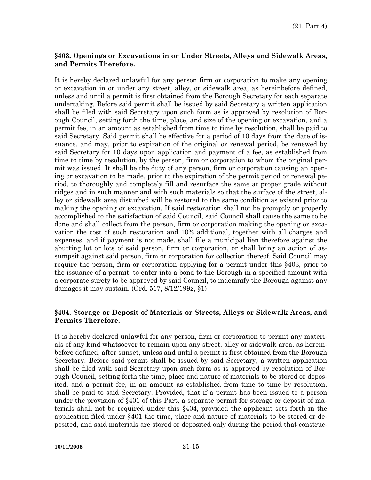### **§403. Openings or Excavations in or Under Streets, Alleys and Sidewalk Areas, and Permits Therefore.**

It is hereby declared unlawful for any person firm or corporation to make any opening or excavation in or under any street, alley, or sidewalk area, as hereinbefore defined, unless and until a permit is first obtained from the Borough Secretary for each separate undertaking. Before said permit shall be issued by said Secretary a written application shall be filed with said Secretary upon such form as is approved by resolution of Borough Council, setting forth the time, place, and size of the opening or excavation, and a permit fee, in an amount as established from time to time by resolution, shall be paid to said Secretary. Said permit shall be effective for a period of 10 days from the date of issuance, and may, prior to expiration of the original or renewal period, be renewed by said Secretary for 10 days upon application and payment of a fee, as established from time to time by resolution, by the person, firm or corporation to whom the original permit was issued. It shall be the duty of any person, firm or corporation causing an opening or excavation to be made, prior to the expiration of the permit period or renewal period, to thoroughly and completely fill and resurface the same at proper grade without ridges and in such manner and with such materials so that the surface of the street, alley or sidewalk area disturbed will be restored to the same condition as existed prior to making the opening or excavation. If said restoration shall not be promptly or properly accomplished to the satisfaction of said Council, said Council shall cause the same to be done and shall collect from the person, firm or corporation making the opening or excavation the cost of such restoration and 10% additional, together with all charges and expenses, and if payment is not made, shall file a municipal lien therefore against the abutting lot or lots of said person, firm or corporation, or shall bring an action of assumpsit against said person, firm or corporation for collection thereof. Said Council may require the person, firm or corporation applying for a permit under this §403, prior to the issuance of a permit, to enter into a bond to the Borough in a specified amount with a corporate surety to be approved by said Council, to indemnify the Borough against any damages it may sustain. (Ord. 517, 8/12/1992, §1)

## **§404. Storage or Deposit of Materials or Streets, Alleys or Sidewalk Areas, and Permits Therefore.**

It is hereby declared unlawful for any person, firm or corporation to permit any materials of any kind whatsoever to remain upon any street, alley or sidewalk area, as hereinbefore defined, after sunset, unless and until a permit is first obtained from the Borough Secretary. Before said permit shall be issued by said Secretary, a written application shall be filed with said Secretary upon such form as is approved by resolution of Borough Council, setting forth the time, place and nature of materials to be stored or deposited, and a permit fee, in an amount as established from time to time by resolution, shall be paid to said Secretary. Provided, that if a permit has been issued to a person under the provision of §401 of this Part, a separate permit for storage or deposit of materials shall not be required under this §404, provided the applicant sets forth in the application filed under §401 the time, place and nature of materials to be stored or deposited, and said materials are stored or deposited only during the period that construc-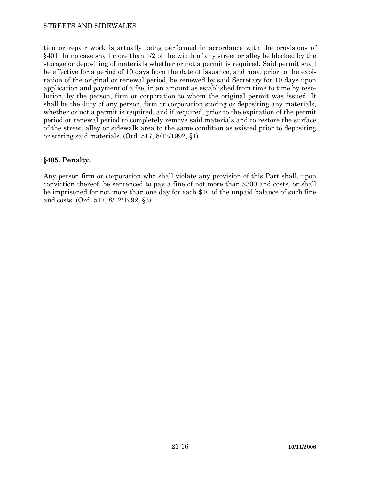### STREETS AND SIDEWALKS

tion or repair work is actually being performed in accordance with the provisions of §401. In no case shall more than 1/2 of the width of any street or alley be blocked by the storage or depositing of materials whether or not a permit is required. Said permit shall be effective for a period of 10 days from the date of issuance, and may, prior to the expiration of the original or renewal period, be renewed by said Secretary for 10 days upon application and payment of a fee, in an amount as established from time to time by resolution, by the person, firm or corporation to whom the original permit was issued. It shall be the duty of any person, firm or corporation storing or depositing any materials, whether or not a permit is required, and if required, prior to the expiration of the permit period or renewal period to completely remove said materials and to restore the surface of the street, alley or sidewalk area to the same condition as existed prior to depositing or storing said materials. (Ord. 517, 8/12/1992, §1)

### **§405. Penalty.**

Any person firm or corporation who shall violate any provision of this Part shall, upon conviction thereof, be sentenced to pay a fine of not more than \$300 and costs, or shall be imprisoned for not more than one day for each \$10 of the unpaid balance of such fine and costs. (Ord. 517, 8/12/1992, §3)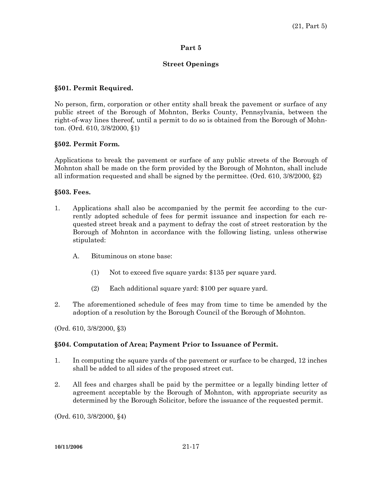### **Street Openings**

### **§501. Permit Required.**

No person, firm, corporation or other entity shall break the pavement or surface of any public street of the Borough of Mohnton, Berks County, Pennsylvania, between the right-of-way lines thereof, until a permit to do so is obtained from the Borough of Mohnton. (Ord. 610, 3/8/2000, §1)

### **§502. Permit Form.**

Applications to break the pavement or surface of any public streets of the Borough of Mohnton shall be made on the form provided by the Borough of Mohnton, shall include all information requested and shall be signed by the permittee. (Ord. 610,  $3/8/2000$ ,  $\S2$ )

### **§503. Fees.**

- 1. Applications shall also be accompanied by the permit fee according to the currently adopted schedule of fees for permit issuance and inspection for each requested street break and a payment to defray the cost of street restoration by the Borough of Mohnton in accordance with the following listing, unless otherwise stipulated:
	- A. Bituminous on stone base:
		- (1) Not to exceed five square yards: \$135 per square yard.
		- (2) Each additional square yard: \$100 per square yard.
- 2. The aforementioned schedule of fees may from time to time be amended by the adoption of a resolution by the Borough Council of the Borough of Mohnton.

(Ord. 610, 3/8/2000, §3)

## **§504. Computation of Area; Payment Prior to Issuance of Permit.**

- 1. In computing the square yards of the pavement or surface to be charged, 12 inches shall be added to all sides of the proposed street cut.
- 2. All fees and charges shall be paid by the permittee or a legally binding letter of agreement acceptable by the Borough of Mohnton, with appropriate security as determined by the Borough Solicitor, before the issuance of the requested permit.

(Ord. 610, 3/8/2000, §4)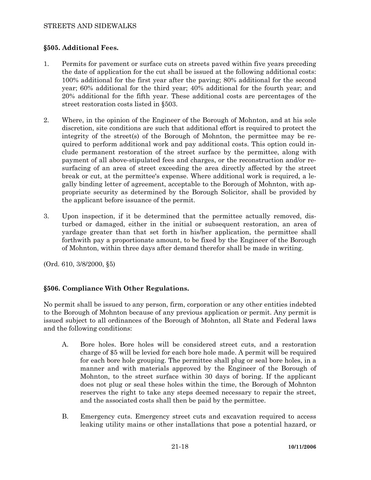## **§505. Additional Fees.**

- 1. Permits for pavement or surface cuts on streets paved within five years preceding the date of application for the cut shall be issued at the following additional costs: 100% additional for the first year after the paving; 80% additional for the second year; 60% additional for the third year; 40% additional for the fourth year; and 20% additional for the fifth year. These additional costs are percentages of the street restoration costs listed in §503.
- 2. Where, in the opinion of the Engineer of the Borough of Mohnton, and at his sole discretion, site conditions are such that additional effort is required to protect the integrity of the street(s) of the Borough of Mohnton, the permittee may be required to perform additional work and pay additional costs. This option could include permanent restoration of the street surface by the permittee, along with payment of all above-stipulated fees and charges, or the reconstruction and/or resurfacing of an area of street exceeding the area directly affected by the street break or cut, at the permittee's expense. Where additional work is required, a legally binding letter of agreement, acceptable to the Borough of Mohnton, with appropriate security as determined by the Borough Solicitor, shall be provided by the applicant before issuance of the permit.
- 3. Upon inspection, if it be determined that the permittee actually removed, disturbed or damaged, either in the initial or subsequent restoration, an area of yardage greater than that set forth in his/her application, the permittee shall forthwith pay a proportionate amount, to be fixed by the Engineer of the Borough of Mohnton, within three days after demand therefor shall be made in writing.

(Ord. 610, 3/8/2000, §5)

## **§506. Compliance With Other Regulations.**

No permit shall be issued to any person, firm, corporation or any other entities indebted to the Borough of Mohnton because of any previous application or permit. Any permit is issued subject to all ordinances of the Borough of Mohnton, all State and Federal laws and the following conditions:

- A. Bore holes. Bore holes will be considered street cuts, and a restoration charge of \$5 will be levied for each bore hole made. A permit will be required for each bore hole grouping. The permittee shall plug or seal bore holes, in a manner and with materials approved by the Engineer of the Borough of Mohnton, to the street surface within 30 days of boring. If the applicant does not plug or seal these holes within the time, the Borough of Mohnton reserves the right to take any steps deemed necessary to repair the street, and the associated costs shall then be paid by the permittee.
- B. Emergency cuts. Emergency street cuts and excavation required to access leaking utility mains or other installations that pose a potential hazard, or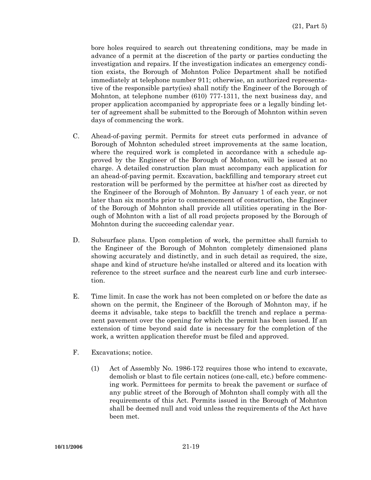bore holes required to search out threatening conditions, may be made in advance of a permit at the discretion of the party or parties conducting the investigation and repairs. If the investigation indicates an emergency condition exists, the Borough of Mohnton Police Department shall be notified immediately at telephone number 911; otherwise, an authorized representative of the responsible party(ies) shall notify the Engineer of the Borough of Mohnton, at telephone number (610) 777-1311, the next business day, and proper application accompanied by appropriate fees or a legally binding letter of agreement shall be submitted to the Borough of Mohnton within seven days of commencing the work.

- C. Ahead-of-paving permit. Permits for street cuts performed in advance of Borough of Mohnton scheduled street improvements at the same location, where the required work is completed in accordance with a schedule approved by the Engineer of the Borough of Mohnton, will be issued at no charge. A detailed construction plan must accompany each application for an ahead-of-paving permit. Excavation, backfilling and temporary street cut restoration will be performed by the permittee at his/her cost as directed by the Engineer of the Borough of Mohnton. By January 1 of each year, or not later than six months prior to commencement of construction, the Engineer of the Borough of Mohnton shall provide all utilities operating in the Borough of Mohnton with a list of all road projects proposed by the Borough of Mohnton during the succeeding calendar year.
- D. Subsurface plans. Upon completion of work, the permittee shall furnish to the Engineer of the Borough of Mohnton completely dimensioned plans showing accurately and distinctly, and in such detail as required, the size, shape and kind of structure he/she installed or altered and its location with reference to the street surface and the nearest curb line and curb intersection.
- E. Time limit. In case the work has not been completed on or before the date as shown on the permit, the Engineer of the Borough of Mohnton may, if he deems it advisable, take steps to backfill the trench and replace a permanent pavement over the opening for which the permit has been issued. If an extension of time beyond said date is necessary for the completion of the work, a written application therefor must be filed and approved.
- F. Excavations; notice.
	- (1) Act of Assembly No. 1986-172 requires those who intend to excavate, demolish or blast to file certain notices (one-call, etc.) before commencing work. Permittees for permits to break the pavement or surface of any public street of the Borough of Mohnton shall comply with all the requirements of this Act. Permits issued in the Borough of Mohnton shall be deemed null and void unless the requirements of the Act have been met.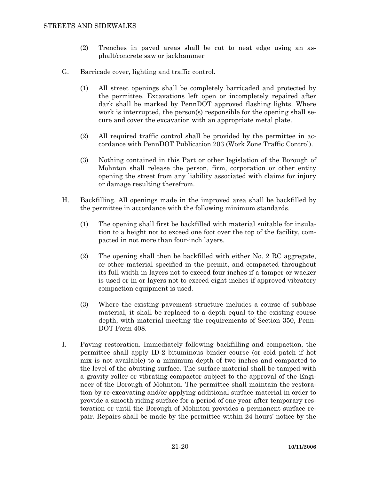- (2) Trenches in paved areas shall be cut to neat edge using an asphalt/concrete saw or jackhammer
- G. Barricade cover, lighting and traffic control.
	- (1) All street openings shall be completely barricaded and protected by the permittee. Excavations left open or incompletely repaired after dark shall be marked by PennDOT approved flashing lights. Where work is interrupted, the person(s) responsible for the opening shall secure and cover the excavation with an appropriate metal plate.
	- (2) All required traffic control shall be provided by the permittee in accordance with PennDOT Publication 203 (Work Zone Traffic Control).
	- (3) Nothing contained in this Part or other legislation of the Borough of Mohnton shall release the person, firm, corporation or other entity opening the street from any liability associated with claims for injury or damage resulting therefrom.
- H. Backfilling. All openings made in the improved area shall be backfilled by the permittee in accordance with the following minimum standards.
	- (1) The opening shall first be backfilled with material suitable for insulation to a height not to exceed one foot over the top of the facility, compacted in not more than four-inch layers.
	- (2) The opening shall then be backfilled with either No. 2 RC aggregate, or other material specified in the permit, and compacted throughout its full width in layers not to exceed four inches if a tamper or wacker is used or in or layers not to exceed eight inches if approved vibratory compaction equipment is used.
	- (3) Where the existing pavement structure includes a course of subbase material, it shall be replaced to a depth equal to the existing course depth, with material meeting the requirements of Section 350, Penn-DOT Form 408.
- I. Paving restoration. Immediately following backfilling and compaction, the permittee shall apply ID-2 bituminous binder course (or cold patch if hot mix is not available) to a minimum depth of two inches and compacted to the level of the abutting surface. The surface material shall be tamped with a gravity roller or vibrating compactor subject to the approval of the Engineer of the Borough of Mohnton. The permittee shall maintain the restoration by re-excavating and/or applying additional surface material in order to provide a smooth riding surface for a period of one year after temporary restoration or until the Borough of Mohnton provides a permanent surface repair. Repairs shall be made by the permittee within 24 hours' notice by the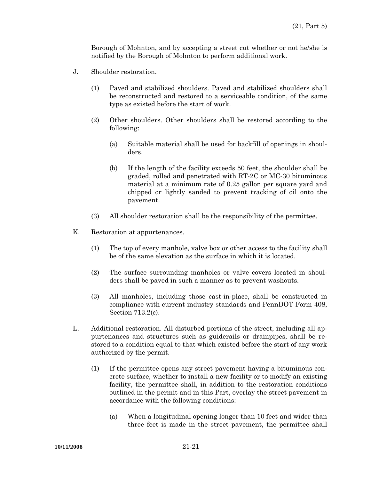Borough of Mohnton, and by accepting a street cut whether or not he/she is notified by the Borough of Mohnton to perform additional work.

- J. Shoulder restoration.
	- (1) Paved and stabilized shoulders. Paved and stabilized shoulders shall be reconstructed and restored to a serviceable condition, of the same type as existed before the start of work.
	- (2) Other shoulders. Other shoulders shall be restored according to the following:
		- (a) Suitable material shall be used for backfill of openings in shoulders.
		- (b) If the length of the facility exceeds 50 feet, the shoulder shall be graded, rolled and penetrated with RT-2C or MC-30 bituminous material at a minimum rate of 0.25 gallon per square yard and chipped or lightly sanded to prevent tracking of oil onto the pavement.
	- (3) All shoulder restoration shall be the responsibility of the permittee.
- K. Restoration at appurtenances.
	- (1) The top of every manhole, valve box or other access to the facility shall be of the same elevation as the surface in which it is located.
	- (2) The surface surrounding manholes or valve covers located in shoulders shall be paved in such a manner as to prevent washouts.
	- (3) All manholes, including those cast-in-place, shall be constructed in compliance with current industry standards and PennDOT Form 408, Section 713.2(c).
- L. Additional restoration. All disturbed portions of the street, including all appurtenances and structures such as guiderails or drainpipes, shall be restored to a condition equal to that which existed before the start of any work authorized by the permit.
	- (1) If the permittee opens any street pavement having a bituminous concrete surface, whether to install a new facility or to modify an existing facility, the permittee shall, in addition to the restoration conditions outlined in the permit and in this Part, overlay the street pavement in accordance with the following conditions:
		- (a) When a longitudinal opening longer than 10 feet and wider than three feet is made in the street pavement, the permittee shall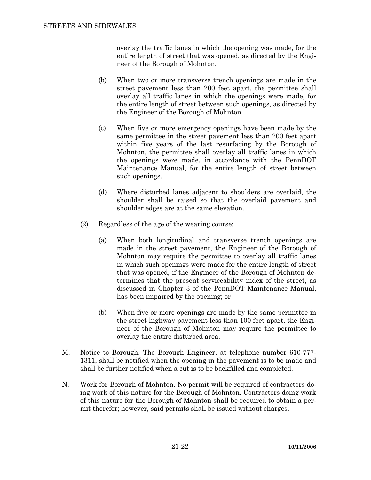overlay the traffic lanes in which the opening was made, for the entire length of street that was opened, as directed by the Engineer of the Borough of Mohnton.

- (b) When two or more transverse trench openings are made in the street pavement less than 200 feet apart, the permittee shall overlay all traffic lanes in which the openings were made, for the entire length of street between such openings, as directed by the Engineer of the Borough of Mohnton.
- (c) When five or more emergency openings have been made by the same permittee in the street pavement less than 200 feet apart within five years of the last resurfacing by the Borough of Mohnton, the permittee shall overlay all traffic lanes in which the openings were made, in accordance with the PennDOT Maintenance Manual, for the entire length of street between such openings.
- (d) Where disturbed lanes adjacent to shoulders are overlaid, the shoulder shall be raised so that the overlaid pavement and shoulder edges are at the same elevation.
- (2) Regardless of the age of the wearing course:
	- (a) When both longitudinal and transverse trench openings are made in the street pavement, the Engineer of the Borough of Mohnton may require the permittee to overlay all traffic lanes in which such openings were made for the entire length of street that was opened, if the Engineer of the Borough of Mohnton determines that the present serviceability index of the street, as discussed in Chapter 3 of the PennDOT Maintenance Manual, has been impaired by the opening; or
	- (b) When five or more openings are made by the same permittee in the street highway pavement less than 100 feet apart, the Engineer of the Borough of Mohnton may require the permittee to overlay the entire disturbed area.
- M. Notice to Borough. The Borough Engineer, at telephone number 610-777- 1311, shall be notified when the opening in the pavement is to be made and shall be further notified when a cut is to be backfilled and completed.
- N. Work for Borough of Mohnton. No permit will be required of contractors doing work of this nature for the Borough of Mohnton. Contractors doing work of this nature for the Borough of Mohnton shall be required to obtain a permit therefor; however, said permits shall be issued without charges.